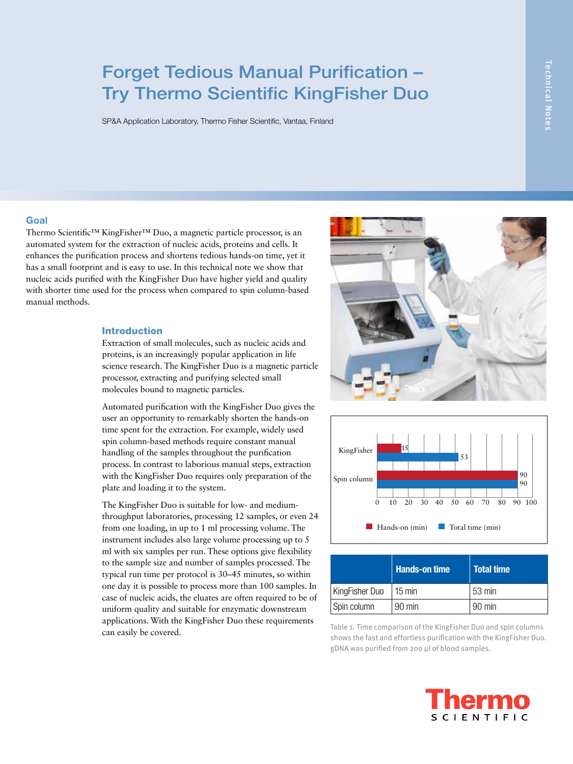# Forget Tedious Manual Purification – Try Thermo Scientific KingFisher Duo

SP&A Application Laboratory, Thermo Fisher Scientific, Vantaa, Finland

#### Goal

Thermo Scientific™ KingFisher™ Duo, a magnetic particle processor, is an automated system for the extraction of nucleic acids, proteins and cells. It enhances the purification process and shortens tedious hands-on time, yet it has a small footprint and is easy to use. In this technical note we show that nucleic acids purified with the KingFisher Duo have higher yield and quality with shorter time used for the process when compared to spin column-based manual methods.

#### Introduction

Extraction of small molecules, such as nucleic acids and proteins, is an increasingly popular application in life science research. The KingFisher Duo is a magnetic particle processor, extracting and purifying selected small molecules bound to magnetic particles.

Automated purification with the KingFisher Duo gives the user an opportunity to remarkably shorten the hands-on time spent for the extraction. For example, widely used spin column-based methods require constant manual handling of the samples throughout the purification process. In contrast to laborious manual steps, extraction with the KingFisher Duo requires only preparation of the plate and loading it to the system.

The KingFisher Duo is suitable for low- and mediumthroughput laboratories, processing 12 samples, or even 24 from one loading, in up to 1 ml processing volume. The instrument includes also large volume processing up to 5 ml with six samples per run. These options give flexibility to the sample size and number of samples processed. The typical run time per protocol is 30–45 minutes, so within one day it is possible to process more than 100 samples. In case of nucleic acids, the eluates are often required to be of uniform quality and suitable for enzymatic downstream applications. With the KingFisher Duo these requirements Experiences. While the Contract Duo these requirements<br>
Table 1. Time comparison of the KingFisher Duo and spin columns<br>
Table 1. Time comparison of the KingFisher Duo and spin columns





|                | Hands-on time    | <b>Total time</b> |
|----------------|------------------|-------------------|
| KingFisher Duo | $15 \text{ min}$ | l 53 min          |
| Spin column    | $90 \text{ min}$ | $90 \text{ min}$  |

shows the fast and effortless purification with the KingFisher Duo. gDNA was purified from 200 µl of blood samples.

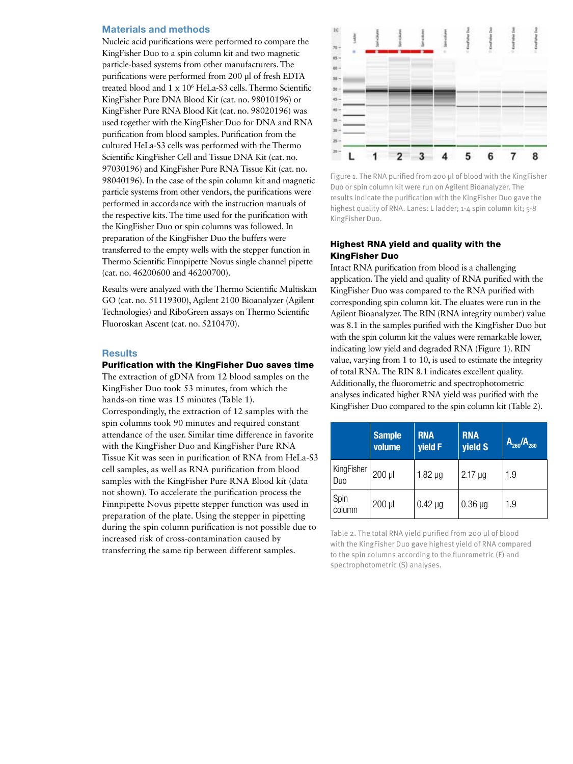#### Materials and methods

Nucleic acid purifications were performed to compare the KingFisher Duo to a spin column kit and two magnetic particle-based systems from other manufacturers. The purifications were performed from 200 µl of fresh EDTA treated blood and 1 x 106 HeLa-S3 cells. Thermo Scientific KingFisher Pure DNA Blood Kit (cat. no. 98010196) or KingFisher Pure RNA Blood Kit (cat. no. 98020196) was used together with the KingFisher Duo for DNA and RNA purification from blood samples. Purification from the cultured HeLa-S3 cells was performed with the Thermo Scientific KingFisher Cell and Tissue DNA Kit (cat. no. 97030196) and KingFisher Pure RNA Tissue Kit (cat. no. 98040196). In the case of the spin column kit and magnetic particle systems from other vendors, the purifications were performed in accordance with the instruction manuals of the respective kits. The time used for the purification with the KingFisher Duo or spin columns was followed. In preparation of the KingFisher Duo the buffers were transferred to the empty wells with the stepper function in Thermo Scientific Finnpipette Novus single channel pipette (cat. no. 46200600 and 46200700).

Results were analyzed with the Thermo Scientific Multiskan GO (cat. no. 51119300), Agilent 2100 Bioanalyzer (Agilent Technologies) and RiboGreen assays on Thermo Scientific Fluoroskan Ascent (cat. no. 5210470).

#### **Results**

### Purification with the KingFisher Duo saves time

The extraction of gDNA from 12 blood samples on the KingFisher Duo took 53 minutes, from which the hands-on time was 15 minutes (Table 1). Correspondingly, the extraction of 12 samples with the spin columns took 90 minutes and required constant attendance of the user. Similar time difference in favorite with the KingFisher Duo and KingFisher Pure RNA Tissue Kit was seen in purification of RNA from HeLa-S3 cell samples, as well as RNA purification from blood samples with the KingFisher Pure RNA Blood kit (data not shown). To accelerate the purification process the Finnpipette Novus pipette stepper function was used in preparation of the plate. Using the stepper in pipetting during the spin column purification is not possible due to increased risk of cross-contamination caused by transferring the same tip between different samples.



Figure 1. The RNA purified from 200 µl of blood with the KingFisher Duo or spin column kit were run on Agilent Bioanalyzer. The results indicate the purification with the KingFisher Duo gave the highest quality of RNA. Lanes: L ladder; 1-4 spin column kit; 5-8 KingFisher Duo.

## Highest RNA yield and quality with the KingFisher Duo

Intact RNA purification from blood is a challenging application. The yield and quality of RNA purified with the KingFisher Duo was compared to the RNA purified with corresponding spin column kit. The eluates were run in the Agilent Bioanalyzer. The RIN (RNA integrity number) value was 8.1 in the samples purified with the KingFisher Duo but with the spin column kit the values were remarkable lower, indicating low yield and degraded RNA (Figure 1). RIN value, varying from 1 to 10, is used to estimate the integrity of total RNA. The RIN 8.1 indicates excellent quality. Additionally, the fluorometric and spectrophotometric analyses indicated higher RNA yield was purified with the KingFisher Duo compared to the spin column kit (Table 2).

|                   | <b>Sample</b><br>volume | <b>RNA</b><br>yield F | <b>RNA</b><br>yield S | $A_{260}/A_{280}$ |
|-------------------|-------------------------|-----------------------|-----------------------|-------------------|
| KingFisher<br>Duo | 200 µl                  | $1.82 \mu g$          | $2.17 \mu g$          | 1.9               |
| Spin<br>column    | 200 µl                  | $0.42 \mu g$          | $0.36 \mu g$          | 1.9               |

Table 2. The total RNA yield purified from 200 µl of blood with the KingFisher Duo gave highest yield of RNA compared to the spin columns according to the fluorometric (F) and spectrophotometric (S) analyses.